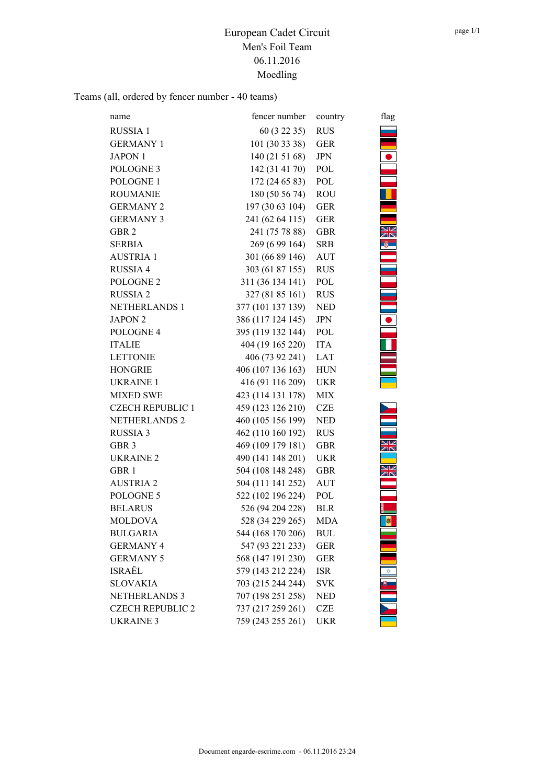Teams (all, ordered by fencer number - 40 teams)

| name                    | fencer number     | country    | flag |
|-------------------------|-------------------|------------|------|
| RUSSIA 1                | 60 (3 22 35)      | <b>RUS</b> |      |
| <b>GERMANY 1</b>        | 101 (30 33 38)    | <b>GER</b> |      |
| <b>JAPON 1</b>          | 140(215168)       | <b>JPN</b> |      |
| POLOGNE <sub>3</sub>    | 142 (31 41 70)    | POL        |      |
| POLOGNE 1               | 172 (24 65 83)    | POL        |      |
| <b>ROUMANIE</b>         | 180 (50 56 74)    | <b>ROU</b> |      |
| <b>GERMANY 2</b>        | 197 (30 63 104)   | <b>GER</b> |      |
| <b>GERMANY 3</b>        | 241 (62 64 115)   | <b>GER</b> |      |
| GBR 2                   | 241 (75 78 88)    | <b>GBR</b> |      |
| SERBIA                  | 269 (6 99 164)    | SRB        |      |
| <b>AUSTRIA1</b>         | 301 (66 89 146)   | <b>AUT</b> |      |
| RUSSIA 4                | 303 (61 87 155)   | <b>RUS</b> |      |
| POLOGNE <sub>2</sub>    | 311 (36 134 141)  | POL        |      |
| <b>RUSSIA2</b>          | 327 (81 85 161)   | <b>RUS</b> |      |
| <b>NETHERLANDS 1</b>    | 377 (101 137 139) | <b>NED</b> |      |
| <b>JAPON 2</b>          | 386 (117 124 145) | <b>JPN</b> |      |
| POLOGNE 4               | 395 (119 132 144) | POL        |      |
| <b>ITALIE</b>           | 404 (19 165 220)  | <b>ITA</b> |      |
| <b>LETTONIE</b>         | 406 (73 92 241)   | LAT        |      |
| <b>HONGRIE</b>          | 406 (107 136 163) | <b>HUN</b> |      |
| <b>UKRAINE 1</b>        | 416 (91 116 209)  | <b>UKR</b> |      |
| <b>MIXED SWE</b>        | 423 (114 131 178) | MIX        |      |
| <b>CZECH REPUBLIC 1</b> | 459 (123 126 210) | <b>CZE</b> |      |
| NETHERLANDS 2           | 460 (105 156 199) | <b>NED</b> |      |
| <b>RUSSIA 3</b>         | 462 (110 160 192) | <b>RUS</b> |      |
| GBR <sub>3</sub>        | 469 (109 179 181) | <b>GBR</b> |      |
| <b>UKRAINE 2</b>        | 490 (141 148 201) | <b>UKR</b> |      |
| GBR 1                   | 504 (108 148 248) | <b>GBR</b> | XK   |
| <b>AUSTRIA 2</b>        | 504 (111 141 252) | <b>AUT</b> |      |
| POLOGNE 5               | 522 (102 196 224) | POL        |      |
| <b>BELARUS</b>          | 526 (94 204 228)  | <b>BLR</b> |      |
| <b>MOLDOVA</b>          | 528 (34 229 265)  | MDA        | ø    |
| <b>BULGARIA</b>         | 544 (168 170 206) | <b>BUL</b> |      |
| <b>GERMANY 4</b>        | 547 (93 221 233)  | <b>GER</b> |      |
| <b>GERMANY 5</b>        | 568 (147 191 230) | <b>GER</b> |      |
| ISRAËL                  | 579 (143 212 224) | <b>ISR</b> |      |
| <b>SLOVAKIA</b>         | 703 (215 244 244) | <b>SVK</b> |      |
| <b>NETHERLANDS 3</b>    | 707 (198 251 258) | <b>NED</b> |      |
| <b>CZECH REPUBLIC 2</b> | 737 (217 259 261) | <b>CZE</b> |      |
| <b>UKRAINE 3</b>        | 759 (243 255 261) | <b>UKR</b> |      |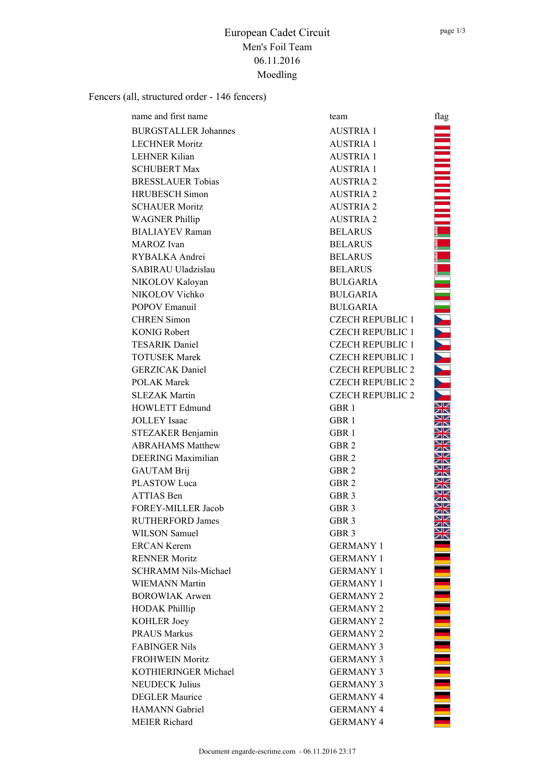<u> NANANA MARAKA KATA MARAKA K</u>

<u>The model of</u>

## European Cadet Circuit Men's Foil Team 06.11.2016 Moedling

Fencers (all, structured order - 146 fencers)

| name and first name         | team                    | flag                                                                                                           |
|-----------------------------|-------------------------|----------------------------------------------------------------------------------------------------------------|
| <b>BURGSTALLER Johannes</b> | <b>AUSTRIA 1</b>        |                                                                                                                |
| <b>LECHNER Moritz</b>       | <b>AUSTRIA 1</b>        |                                                                                                                |
| LEHNER Kilian               | <b>AUSTRIA1</b>         | a kacamatan ing Kabupatèn Kabupatèn Kabupatèn Kabupatèn Kabupatèn Kabupatèn Kabupatèn Kabupatèn Kabupatèn Kabu |
| <b>SCHUBERT Max</b>         | <b>AUSTRIA1</b>         |                                                                                                                |
| <b>BRESSLAUER Tobias</b>    | <b>AUSTRIA 2</b>        |                                                                                                                |
| <b>HRUBESCH Simon</b>       | <b>AUSTRIA 2</b>        |                                                                                                                |
| <b>SCHAUER Moritz</b>       | <b>AUSTRIA 2</b>        |                                                                                                                |
| <b>WAGNER Phillip</b>       | <b>AUSTRIA 2</b>        |                                                                                                                |
| <b>BIALIAYEV</b> Raman      | <b>BELARUS</b>          |                                                                                                                |
| MAROZ Ivan                  | <b>BELARUS</b>          |                                                                                                                |
| RYBALKA Andrei              | <b>BELARUS</b>          |                                                                                                                |
| SABIRAU Uladzislau          | <b>BELARUS</b>          |                                                                                                                |
| NIKOLOV Kaloyan             | <b>BULGARIA</b>         |                                                                                                                |
| NIKOLOV Vichko              | <b>BULGARIA</b>         | i.                                                                                                             |
| <b>POPOV Emanuil</b>        | <b>BULGARIA</b>         |                                                                                                                |
| <b>CHREN Simon</b>          | <b>CZECH REPUBLIC 1</b> |                                                                                                                |
| <b>KONIG Robert</b>         | <b>CZECH REPUBLIC 1</b> |                                                                                                                |
| <b>TESARIK Daniel</b>       | <b>CZECH REPUBLIC 1</b> |                                                                                                                |
| <b>TOTUSEK Marek</b>        | <b>CZECH REPUBLIC 1</b> |                                                                                                                |
| <b>GERZICAK</b> Daniel      | <b>CZECH REPUBLIC 2</b> | <b>TARK AND</b>                                                                                                |
| <b>POLAK Marek</b>          | <b>CZECH REPUBLIC 2</b> |                                                                                                                |
| <b>SLEZAK Martin</b>        | <b>CZECH REPUBLIC 2</b> |                                                                                                                |
| <b>HOWLETT Edmund</b>       | GBR <sub>1</sub>        | V<br>ZN                                                                                                        |
| <b>JOLLEY</b> Isaac         | GBR 1                   |                                                                                                                |
| STEZAKER Benjamin           | GBR <sub>1</sub>        | ZK                                                                                                             |
| <b>ABRAHAMS Matthew</b>     | GBR <sub>2</sub>        |                                                                                                                |
| <b>DEERING Maximilian</b>   | GBR <sub>2</sub>        |                                                                                                                |
| <b>GAUTAM Brij</b>          | GBR <sub>2</sub>        |                                                                                                                |
| PLASTOW Luca                | GBR <sub>2</sub>        | ar                                                                                                             |
| <b>ATTIAS Ben</b>           | GBR <sub>3</sub>        |                                                                                                                |
| FOREY-MILLER Jacob          | GBR 3                   |                                                                                                                |
| <b>RUTHERFORD James</b>     | GBR <sub>3</sub>        | ∕الا<br>ZK                                                                                                     |
| <b>WILSON Samuel</b>        | GBR <sub>3</sub>        | ∕الا<br>ZN                                                                                                     |
| <b>ERCAN Kerem</b>          | <b>GERMANY 1</b>        |                                                                                                                |
| <b>RENNER Moritz</b>        | <b>GERMANY 1</b>        |                                                                                                                |
| <b>SCHRAMM Nils-Michael</b> | <b>GERMANY 1</b>        |                                                                                                                |
| <b>WIEMANN Martin</b>       | <b>GERMANY 1</b>        |                                                                                                                |
| <b>BOROWIAK Arwen</b>       | <b>GERMANY 2</b>        |                                                                                                                |
| <b>HODAK Philllip</b>       | <b>GERMANY 2</b>        |                                                                                                                |
| KOHLER Joey                 | <b>GERMANY 2</b>        |                                                                                                                |
| <b>PRAUS Markus</b>         | <b>GERMANY 2</b>        |                                                                                                                |
| <b>FABINGER Nils</b>        | <b>GERMANY 3</b>        |                                                                                                                |
| <b>FROHWEIN Moritz</b>      | <b>GERMANY 3</b>        |                                                                                                                |
| KOTHIERINGER Michael        | <b>GERMANY 3</b>        |                                                                                                                |
| <b>NEUDECK Julius</b>       | <b>GERMANY 3</b>        |                                                                                                                |
| <b>DEGLER Maurice</b>       | <b>GERMANY 4</b>        |                                                                                                                |
| <b>HAMANN</b> Gabriel       | <b>GERMANY 4</b>        |                                                                                                                |
| MEIER Richard               | <b>GERMANY 4</b>        |                                                                                                                |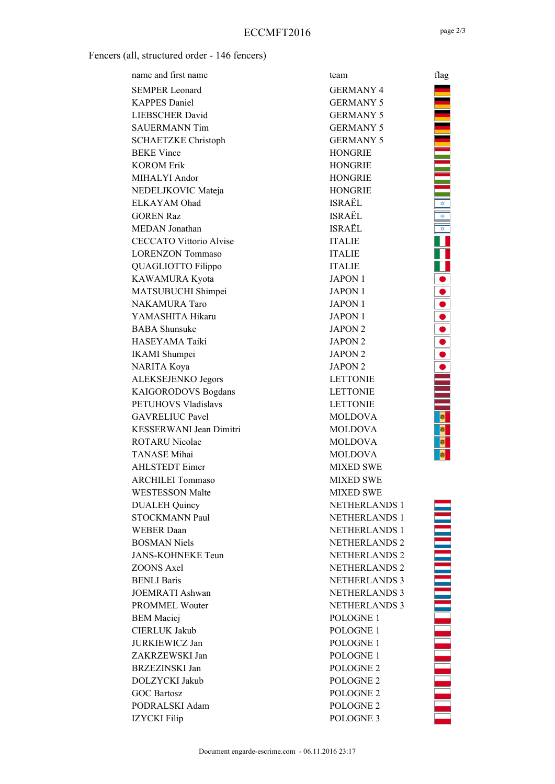### Fencers (all, structured order - 146 fencers)

| name and first name            | team                 | flag                       |
|--------------------------------|----------------------|----------------------------|
| <b>SEMPER Leonard</b>          | <b>GERMANY 4</b>     |                            |
| <b>KAPPES</b> Daniel           | <b>GERMANY 5</b>     |                            |
| <b>LIEBSCHER David</b>         | <b>GERMANY 5</b>     |                            |
| <b>SAUERMANN Tim</b>           | <b>GERMANY 5</b>     |                            |
| <b>SCHAETZKE Christoph</b>     | <b>GERMANY 5</b>     |                            |
| <b>BEKE Vince</b>              | <b>HONGRIE</b>       |                            |
| <b>KOROM Erik</b>              | <b>HONGRIE</b>       |                            |
| MIHALYI Andor                  | <b>HONGRIE</b>       | Ξ                          |
| NEDELJKOVIC Mateja             | <b>HONGRIE</b>       |                            |
| ELKAYAM Ohad                   | ISRAËL               | ¢                          |
| <b>GOREN Raz</b>               | ISRAËL               | ¢                          |
| MEDAN Jonathan                 | ISRAËL               | $\hat{\mathbf{v}}$         |
| <b>CECCATO Vittorio Alvise</b> | <b>ITALIE</b>        |                            |
| <b>LORENZON Tommaso</b>        | <b>ITALIE</b>        |                            |
| QUAGLIOTTO Filippo             | <b>ITALIE</b>        | Ш                          |
| KAWAMURA Kyota                 | <b>JAPON 1</b>       |                            |
| MATSUBUCHI Shimpei             | <b>JAPON 1</b>       |                            |
| NAKAMURA Taro                  | <b>JAPON 1</b>       |                            |
| YAMASHITA Hikaru               | <b>JAPON 1</b>       |                            |
| <b>BABA</b> Shunsuke           | JAPON <sub>2</sub>   |                            |
| HASEYAMA Taiki                 | <b>JAPON 2</b>       |                            |
| <b>IKAMI</b> Shumpei           | JAPON <sub>2</sub>   |                            |
| NARITA Koya                    | JAPON <sub>2</sub>   |                            |
| ALEKSEJENKO Jegors             | <b>LETTONIE</b>      |                            |
| KAIGORODOVS Bogdans            | <b>LETTONIE</b>      |                            |
| PETUHOVS Vladislavs            | <b>LETTONIE</b>      |                            |
| <b>GAVRELIUC Pavel</b>         | <b>MOLDOVA</b>       |                            |
| KESSERWANI Jean Dimitri        | <b>MOLDOVA</b>       | $\vert \pmb{\theta} \vert$ |
| ROTARU Nicolae                 | <b>MOLDOVA</b>       |                            |
| <b>TANASE</b> Mihai            | <b>MOLDOVA</b>       | B.                         |
| <b>AHLSTEDT</b> Eimer          | <b>MIXED SWE</b>     |                            |
| <b>ARCHILEI Tommaso</b>        | <b>MIXED SWE</b>     |                            |
| <b>WESTESSON Malte</b>         | <b>MIXED SWE</b>     |                            |
| <b>DUALEH Quincy</b>           | <b>NETHERLANDS 1</b> |                            |
| <b>STOCKMANN Paul</b>          | <b>NETHERLANDS 1</b> |                            |
| <b>WEBER Daan</b>              | <b>NETHERLANDS 1</b> |                            |
| <b>BOSMAN Niels</b>            | <b>NETHERLANDS 2</b> |                            |
| <b>JANS-KOHNEKE Teun</b>       | <b>NETHERLANDS 2</b> |                            |
| ZOONS Axel                     | <b>NETHERLANDS 2</b> |                            |
| <b>BENLI Baris</b>             | <b>NETHERLANDS 3</b> |                            |
| <b>JOEMRATI Ashwan</b>         | <b>NETHERLANDS 3</b> |                            |
| PROMMEL Wouter                 | <b>NETHERLANDS 3</b> |                            |
| <b>BEM</b> Maciej              | POLOGNE <sub>1</sub> |                            |
| <b>CIERLUK Jakub</b>           | POLOGNE <sub>1</sub> |                            |
| <b>JURKIEWICZ Jan</b>          | POLOGNE 1            |                            |
| ZAKRZEWSKI Jan                 | POLOGNE 1            |                            |
| BRZEZINSKI Jan                 | POLOGNE <sub>2</sub> |                            |
| DOLZYCKI Jakub                 | POLOGNE <sub>2</sub> |                            |
| <b>GOC Bartosz</b>             | POLOGNE <sub>2</sub> |                            |
| PODRALSKI Adam                 | POLOGNE <sub>2</sub> |                            |
| <b>IZYCKI</b> Filip            | POLOGNE <sub>3</sub> |                            |

▐▕▊▊▊▊▊▊▊▊▊▊▓▓▓▓▓▓▓▓▓▓▓▓▓

**TELEVISION CONSUMING**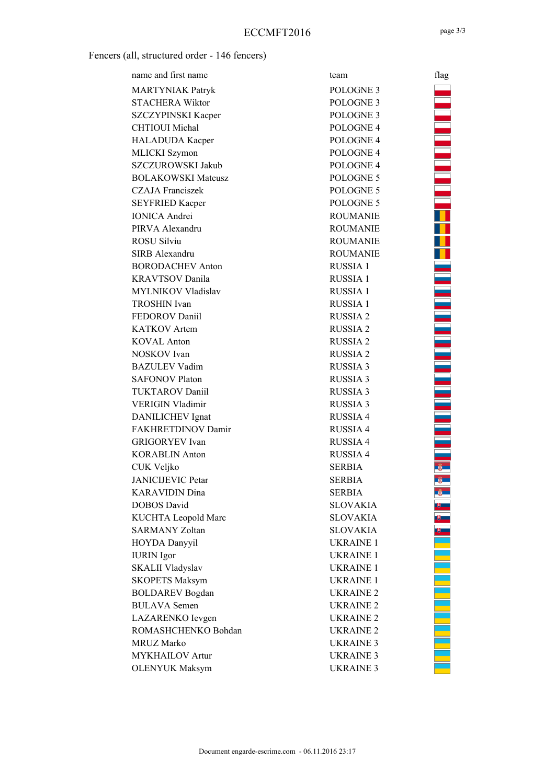Fencers (all, structured order - 146 fencers)

| name and first name        | team                 | flag           |
|----------------------------|----------------------|----------------|
| <b>MARTYNIAK Patryk</b>    | POLOGNE 3            |                |
| <b>STACHERA Wiktor</b>     | POLOGNE 3            |                |
| SZCZYPINSKI Kacper         | POLOGNE 3            |                |
| <b>CHTIOUI</b> Michal      | POLOGNE <sub>4</sub> |                |
| HALADUDA Kacper            | POLOGNE <sub>4</sub> |                |
| MLICKI Szymon              | POLOGNE <sub>4</sub> |                |
| <b>SZCZUROWSKI Jakub</b>   | POLOGNE <sub>4</sub> |                |
| <b>BOLAKOWSKI Mateusz</b>  | POLOGNE 5            |                |
| <b>CZAJA Franciszek</b>    | POLOGNE 5            |                |
| <b>SEYFRIED Kacper</b>     | POLOGNE 5            |                |
| <b>IONICA Andrei</b>       | <b>ROUMANIE</b>      | ī              |
| PIRVA Alexandru            | <b>ROUMANIE</b>      |                |
| <b>ROSU Silviu</b>         | <b>ROUMANIE</b>      | ł              |
| SIRB Alexandru             | <b>ROUMANIE</b>      |                |
| <b>BORODACHEV Anton</b>    | RUSSIA 1             |                |
| <b>KRAVTSOV Danila</b>     | <b>RUSSIA1</b>       |                |
| MYLNIKOV Vladislav         | <b>RUSSIA1</b>       |                |
| <b>TROSHIN</b> Ivan        | <b>RUSSIA1</b>       | $\overline{1}$ |
| FEDOROV Daniil             | <b>RUSSIA 2</b>      |                |
| <b>KATKOV</b> Artem        | <b>RUSSIA2</b>       |                |
| <b>KOVAL Anton</b>         | <b>RUSSIA2</b>       |                |
| NOSKOV Ivan                | <b>RUSSIA2</b>       | İ              |
| <b>BAZULEV Vadim</b>       | <b>RUSSIA 3</b>      |                |
| <b>SAFONOV Platon</b>      | <b>RUSSIA 3</b>      | ÷,             |
| <b>TUKTAROV Daniil</b>     | <b>RUSSIA 3</b>      |                |
| <b>VERIGIN Vladimir</b>    | <b>RUSSIA 3</b>      | $\overline{a}$ |
| DANILICHEV Ignat           | <b>RUSSIA 4</b>      |                |
| FAKHRETDINOV Damir         | <b>RUSSIA 4</b>      |                |
| <b>GRIGORYEV</b> Ivan      | <b>RUSSIA 4</b>      |                |
| <b>KORABLIN Anton</b>      | <b>RUSSIA 4</b>      |                |
| CUK Veljko                 | <b>SERBIA</b>        |                |
| <b>JANICIJEVIC Petar</b>   | <b>SERBIA</b>        |                |
| <b>KARAVIDIN Dina</b>      | <b>SERBIA</b>        |                |
| <b>DOBOS</b> David         | <b>SLOVAKIA</b>      |                |
| <b>KUCHTA Leopold Marc</b> | <b>SLOVAKIA</b>      |                |
| <b>SARMANY Zoltan</b>      | <b>SLOVAKIA</b>      |                |
| <b>HOYDA Danyyil</b>       | <b>UKRAINE 1</b>     |                |
| <b>IURIN</b> Igor          | <b>UKRAINE 1</b>     |                |
| <b>SKALII Vladyslav</b>    | <b>UKRAINE 1</b>     |                |
| <b>SKOPETS Maksym</b>      | <b>UKRAINE 1</b>     |                |
| <b>BOLDAREV</b> Bogdan     | <b>UKRAINE 2</b>     |                |
| <b>BULAVA</b> Semen        | <b>UKRAINE 2</b>     |                |
| LAZARENKO Ievgen           | UKRAINE <sub>2</sub> |                |
| ROMASHCHENKO Bohdan        | <b>UKRAINE 2</b>     |                |
| <b>MRUZ Marko</b>          | <b>UKRAINE 3</b>     |                |
| <b>MYKHAILOV Artur</b>     | <b>UKRAINE 3</b>     |                |
| <b>OLENYUK Maksym</b>      | <b>UKRAINE 3</b>     |                |

<u>TA CALIFAT DE LA CALIFAT DE LA CALIFAT DE LA CALIFAT DE LA CALIFAT DE LA CALIFAT DE LA CALIFAT DE LA CALIFAT D</u>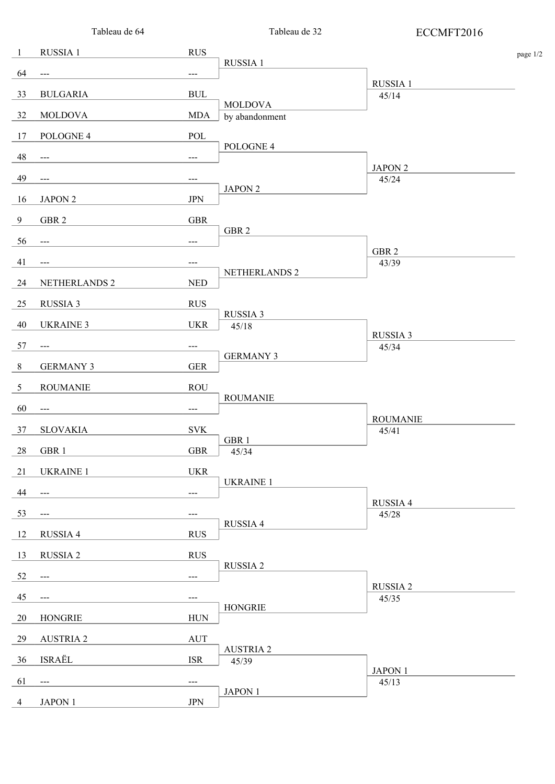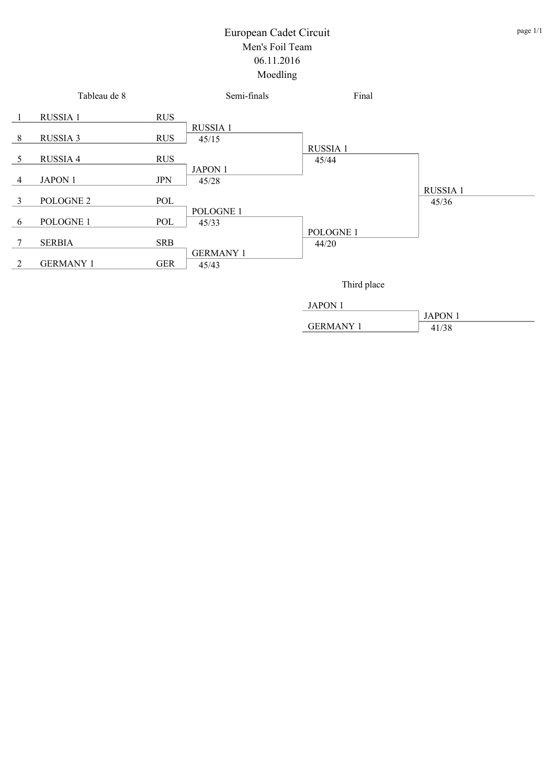

GERMANY 1 41/38

JAPON 1

#### page 1/1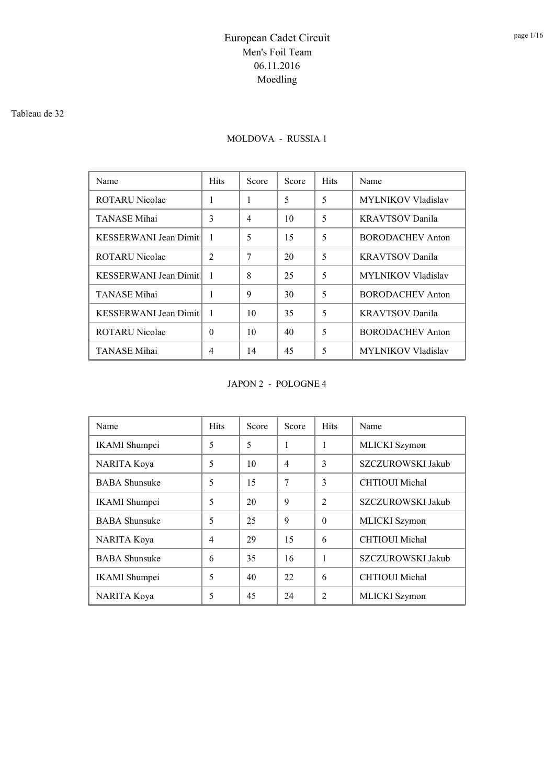#### Tableau de 32

## MOLDOVA - RUSSIA 1

| Name                  | <b>Hits</b>    | Score | Score | <b>Hits</b> | Name                      |
|-----------------------|----------------|-------|-------|-------------|---------------------------|
| ROTARU Nicolae        | 1              |       | 5     | 5           | <b>MYLNIKOV Vladislav</b> |
| <b>TANASE</b> Mihai   | 3              | 4     | 10    | 5           | <b>KRAVTSOV</b> Danila    |
| KESSERWANI Jean Dimit | -1             | 5     | 15    | 5           | BORODACHEV Anton          |
| ROTARU Nicolae        | $\overline{2}$ | 7     | 20    | 5           | <b>KRAVTSOV</b> Danila    |
| KESSERWANI Jean Dimit | -1             | 8     | 25    | 5           | <b>MYLNIKOV Vladislav</b> |
| <b>TANASE</b> Mihai   | 1              | 9     | 30    | 5           | BORODACHEV Anton          |
| KESSERWANI Jean Dimit | $\mathbf{1}$   | 10    | 35    | 5           | <b>KRAVTSOV Danila</b>    |
| ROTARU Nicolae        | $\Omega$       | 10    | 40    | 5           | <b>BORODACHEV Anton</b>   |
| TANASE Mihai          | 4              | 14    | 45    | 5           | <b>MYLNIKOV Vladislav</b> |

JAPON 2 - POLOGNE 4

| Name                 | <b>Hits</b>    | Score | Score          | <b>Hits</b>    | Name                  |
|----------------------|----------------|-------|----------------|----------------|-----------------------|
| <b>IKAMI</b> Shumpei | 5              | 5     | 1              | 1              | MLICKI Szymon         |
| NARITA Koya          | 5              | 10    | $\overline{4}$ | 3              | SZCZUROWSKI Jakub     |
| <b>BABA</b> Shunsuke | 5              | 15    | 7              | 3              | <b>CHTIOUI</b> Michal |
| <b>IKAMI</b> Shumpei | 5              | 20    | 9              | $\mathfrak{D}$ | SZCZUROWSKI Jakub     |
| <b>BABA</b> Shunsuke | 5              | 25    | 9              | $\Omega$       | MLICKI Szymon         |
| <b>NARITA Koya</b>   | $\overline{4}$ | 29    | 15             | 6              | <b>CHTIOUI</b> Michal |
| <b>BABA Shunsuke</b> | 6              | 35    | 16             | 1              | SZCZUROWSKI Jakub     |
| <b>IKAMI</b> Shumpei | 5              | 40    | 22             | 6              | <b>CHTIOUI</b> Michal |
| <b>NARITA Koya</b>   | 5              | 45    | 24             | $\overline{c}$ | <b>MLICKI</b> Szymon  |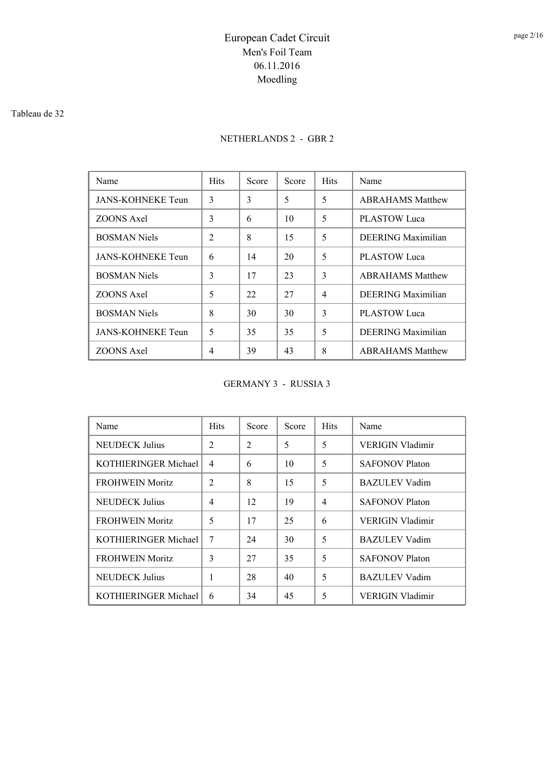#### Tableau de 32

## NETHERLANDS 2 - GBR 2

| Name                     | <b>Hits</b>    | Score | Score | <b>Hits</b>    | Name                      |
|--------------------------|----------------|-------|-------|----------------|---------------------------|
| <b>JANS-KOHNEKE Teun</b> | 3              | 3     | 5     | 5              | <b>ABRAHAMS Matthew</b>   |
| ZOONS Axel               | 3              | 6     | 10    | 5              | <b>PLASTOW Luca</b>       |
| <b>BOSMAN Niels</b>      | 2              | 8     | 15    | 5              | <b>DEERING</b> Maximilian |
| <b>JANS-KOHNEKE Teun</b> | 6              | 14    | 20    | 5              | PLASTOW Luca              |
| <b>BOSMAN Niels</b>      | 3              | 17    | 23    | 3              | <b>ABRAHAMS Matthew</b>   |
| <b>ZOONS</b> Axel        | 5              | 22    | 27    | $\overline{4}$ | DEERING Maximilian        |
| <b>BOSMAN Niels</b>      | 8              | 30    | 30    | 3              | <b>PLASTOW</b> Luca       |
| <b>JANS-KOHNEKE Teun</b> | 5              | 35    | 35    | 5              | <b>DEERING</b> Maximilian |
| ZOONS Axel               | $\overline{4}$ | 39    | 43    | 8              | <b>ABRAHAMS Matthew</b>   |

#### GERMANY 3 - RUSSIA 3

| Name                   | <b>Hits</b>    | Score          | Score | <b>Hits</b>    | Name                    |
|------------------------|----------------|----------------|-------|----------------|-------------------------|
| <b>NEUDECK Julius</b>  | 2              | $\mathfrak{D}$ | 5     | 5              | VERIGIN Vladimir        |
| KOTHIERINGER Michael   | $\overline{4}$ | 6              | 10    | 5              | <b>SAFONOV Platon</b>   |
| <b>FROHWEIN Moritz</b> | 2              | 8              | 15    | 5              | <b>BAZULEV Vadim</b>    |
| <b>NEUDECK Julius</b>  | $\overline{4}$ | 12             | 19    | $\overline{4}$ | <b>SAFONOV Platon</b>   |
| <b>FROHWEIN Moritz</b> | 5              | 17             | 25    | 6              | <b>VERIGIN Vladimir</b> |
| KOTHIERINGER Michael   | 7              | 24             | 30    | 5              | <b>BAZULEV Vadim</b>    |
| <b>FROHWEIN Moritz</b> | 3              | 27             | 35    | 5              | <b>SAFONOV Platon</b>   |
| <b>NEUDECK Julius</b>  | 1              | 28             | 40    | 5              | <b>BAZULEV</b> Vadim    |
| KOTHIERINGER Michael   | 6              | 34             | 45    | 5              | VERIGIN Vladimir        |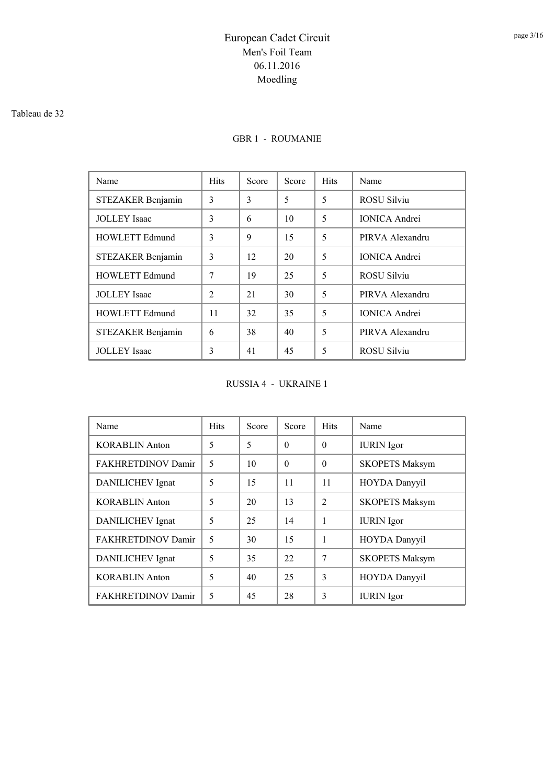#### Tableau de 32

### GBR 1 - ROUMANIE

| Name                  | <b>Hits</b>    | Score | Score | <b>Hits</b> | Name                 |
|-----------------------|----------------|-------|-------|-------------|----------------------|
| STEZAKER Benjamin     | 3              | 3     | 5     | 5           | ROSU Silviu          |
| <b>JOLLEY</b> Isaac   | 3              | 6     | 10    | 5           | <b>IONICA</b> Andrei |
| <b>HOWLETT Edmund</b> | 3              | 9     | 15    | 5           | PIRVA Alexandru      |
| STEZAKER Benjamin     | 3              | 12    | 20    | 5           | <b>IONICA</b> Andrei |
| <b>HOWLETT Edmund</b> | 7              | 19    | 25    | 5           | <b>ROSU Silviu</b>   |
| <b>JOLLEY</b> Isaac   | $\mathfrak{D}$ | 21    | 30    | 5           | PIRVA Alexandru      |
| <b>HOWLETT Edmund</b> | 11             | 32    | 35    | 5           | <b>IONICA</b> Andrei |
| STEZAKER Benjamin     | 6              | 38    | 40    | 5           | PIRVA Alexandru      |
| <b>JOLLEY</b> Isaac   | 3              | 41    | 45    | 5           | <b>ROSU Silviu</b>   |

RUSSIA 4 - UKRAINE 1

| Name                      | <b>Hits</b>              | Score | Score    | <b>Hits</b>    | Name                  |
|---------------------------|--------------------------|-------|----------|----------------|-----------------------|
| <b>KORABLIN Anton</b>     | 5                        | 5     | $\theta$ | $\Omega$       | <b>IURIN</b> Igor     |
| FAKHRETDINOV Damir        | 5                        | 10    | $\Omega$ | $\Omega$       | <b>SKOPETS Maksym</b> |
| DANILICHEV Ignat          | 5                        | 15    | 11       | 11             | HOYDA Danyyil         |
| <b>KORABLIN Anton</b>     | 5                        | 20    | 13       | $\mathfrak{D}$ | <b>SKOPETS Maksym</b> |
| DANILICHEV Ignat          | 5                        | 25    | 14       | 1              | <b>IURIN</b> Igor     |
| FAKHRETDINOV Damir        | $\overline{\mathcal{L}}$ | 30    | 15       | $\mathbf{1}$   | HOYDA Danyyil         |
| DANILICHEV Ignat          | 5                        | 35    | 22       | 7              | <b>SKOPETS Maksym</b> |
| <b>KORABLIN Anton</b>     | 5                        | 40    | 25       | 3              | HOYDA Danyyil         |
| <b>FAKHRETDINOV Damir</b> | 5                        | 45    | 28       | 3              | <b>IURIN</b> Igor     |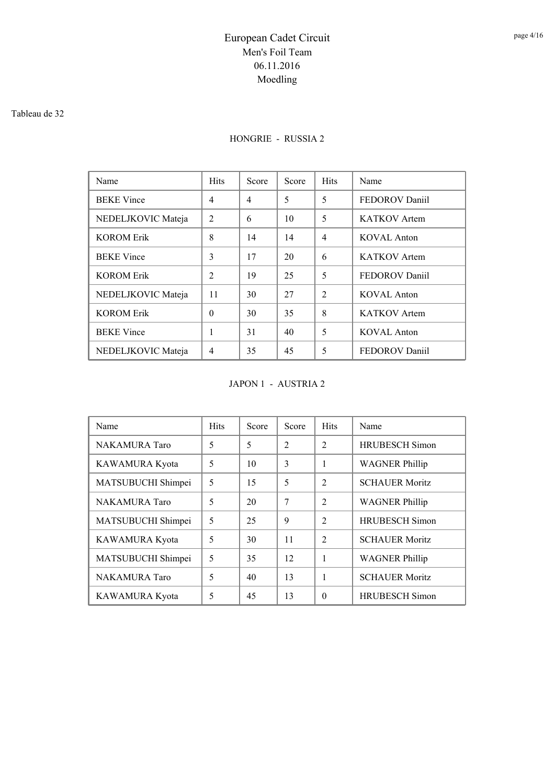#### Tableau de 32

### HONGRIE - RUSSIA 2

| Name               | <b>Hits</b>    | Score | Score | <b>Hits</b>    | Name                |
|--------------------|----------------|-------|-------|----------------|---------------------|
| <b>BEKE</b> Vince  | $\overline{4}$ | 4     | 5     | 5              | FEDOROV Daniil      |
| NEDELJKOVIC Mateja | $\mathfrak{D}$ | 6     | 10    | 5              | KATKOV Artem        |
| <b>KOROM Erik</b>  | 8              | 14    | 14    | $\overline{4}$ | KOVAL Anton         |
| <b>BEKE</b> Vince  | 3              | 17    | 20    | 6              | <b>KATKOV</b> Artem |
| <b>KOROM Erik</b>  | $\overline{2}$ | 19    | 25    | 5              | FEDOROV Daniil      |
| NEDELJKOVIC Mateja | 11             | 30    | 27    | $\mathfrak{D}$ | KOVAL Anton         |
| <b>KOROM Erik</b>  | $\theta$       | 30    | 35    | 8              | <b>KATKOV</b> Artem |
| <b>BEKE</b> Vince  | 1              | 31    | 40    | 5              | <b>KOVAL Anton</b>  |
| NEDELJKOVIC Mateja | $\overline{4}$ | 35    | 45    | 5              | FEDOROV Daniil      |

JAPON 1 - AUSTRIA 2

| Name                 | <b>Hits</b> | Score | Score          | <b>Hits</b>    | Name                  |
|----------------------|-------------|-------|----------------|----------------|-----------------------|
| <b>NAKAMURA</b> Taro | 5           | 5     | $\mathfrak{D}$ | $\mathfrak{D}$ | <b>HRUBESCH Simon</b> |
| KAWAMURA Kyota       | 5           | 10    | 3              | 1              | <b>WAGNER Phillip</b> |
| MATSUBUCHI Shimpei   | 5           | 15    | 5              | $\mathfrak{D}$ | <b>SCHAUER Moritz</b> |
| <b>NAKAMURA</b> Taro | 5           | 20    | 7              | $\mathfrak{D}$ | <b>WAGNER Phillip</b> |
| MATSUBUCHI Shimpei   | 5           | 25    | 9              | $\mathfrak{D}$ | <b>HRUBESCH Simon</b> |
| KAWAMURA Kyota       | 5           | 30    | 11             | $\mathcal{L}$  | <b>SCHAUER Moritz</b> |
| MATSUBUCHI Shimpei   | 5           | 35    | 12             | 1              | <b>WAGNER Phillip</b> |
| <b>NAKAMURA</b> Taro | 5           | 40    | 13             | 1              | <b>SCHAUER Moritz</b> |
| KAWAMURA Kyota       | 5           | 45    | 13             | $\Omega$       | <b>HRUBESCH Simon</b> |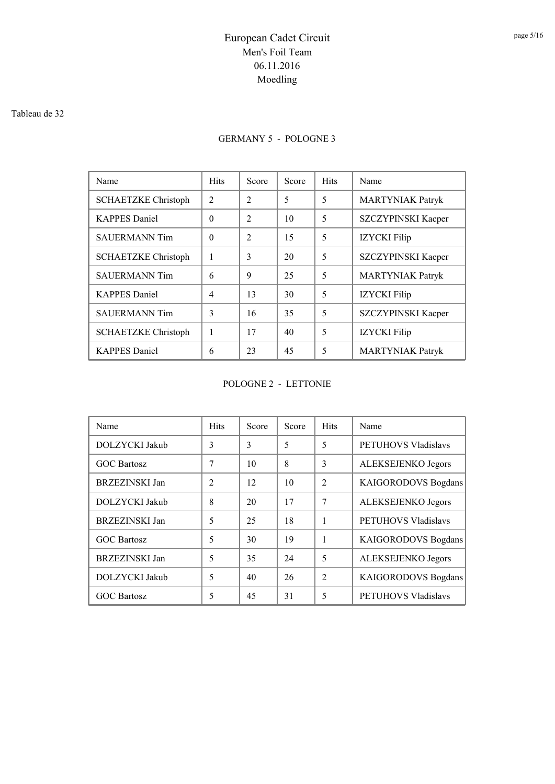#### Tableau de 32

### GERMANY 5 - POLOGNE 3

| Name                       | <b>Hits</b> | Score                    | Score | <b>Hits</b> | Name                    |
|----------------------------|-------------|--------------------------|-------|-------------|-------------------------|
| <b>SCHAETZKE Christoph</b> | 2           | $\mathfrak{D}$           | 5     | 5           | <b>MARTYNIAK Patryk</b> |
| <b>KAPPES</b> Daniel       | $\theta$    | $\mathfrak{D}$           | 10    | 5           | SZCZYPINSKI Kacper      |
| <b>SAUERMANN Tim</b>       | $\Omega$    | $\mathfrak{D}_{1}^{(1)}$ | 15    | 5           | <b>IZYCKI</b> Filip     |
| <b>SCHAETZKE Christoph</b> | 1           | 3                        | 20    | 5           | SZCZYPINSKI Kacper      |
| <b>SAUERMANN Tim</b>       | 6           | 9                        | 25    | 5           | <b>MARTYNIAK Patryk</b> |
| <b>KAPPES</b> Daniel       | 4           | 13                       | 30    | 5           | <b>IZYCKI</b> Filip     |
| <b>SAUERMANN Tim</b>       | 3           | 16                       | 35    | 5           | SZCZYPINSKI Kacper      |
| <b>SCHAETZKE</b> Christoph | 1           | 17                       | 40    | 5           | <b>IZYCKI</b> Filip     |
| <b>KAPPES</b> Daniel       | 6           | 23                       | 45    | 5           | <b>MARTYNIAK Patryk</b> |

POLOGNE 2 - LETTONIE

| Name                  | <b>Hits</b>    | Score | Score | <b>Hits</b>    | Name                       |
|-----------------------|----------------|-------|-------|----------------|----------------------------|
| DOLZYCKI Jakub        | 3              | 3     | 5     | 5              | PETUHOVS Vladislavs        |
| <b>GOC Bartosz</b>    | 7              | 10    | 8     | 3              | ALEKSEJENKO Jegors         |
| <b>BRZEZINSKI Jan</b> | $\overline{c}$ | 12    | 10    | $\mathfrak{D}$ | <b>KAIGORODOVS Bogdans</b> |
| DOLZYCKI Jakub        | 8              | 20    | 17    | 7              | ALEKSEJENKO Jegors         |
| <b>BRZEZINSKI Jan</b> | 5              | 25    | 18    | 1              | PETUHOVS Vladislavs        |
| <b>GOC Bartosz</b>    | 5              | 30    | 19    | 1              | <b>KAIGORODOVS Bogdans</b> |
| <b>BRZEZINSKI Jan</b> | 5              | 35    | 24    | 5              | ALEKSEJENKO Jegors         |
| DOLZYCKI Jakub        | 5              | 40    | 26    | $\mathfrak{D}$ | <b>KAIGORODOVS Bogdans</b> |
| <b>GOC Bartosz</b>    | 5              | 45    | 31    | 5              | <b>PETUHOVS Vladislavs</b> |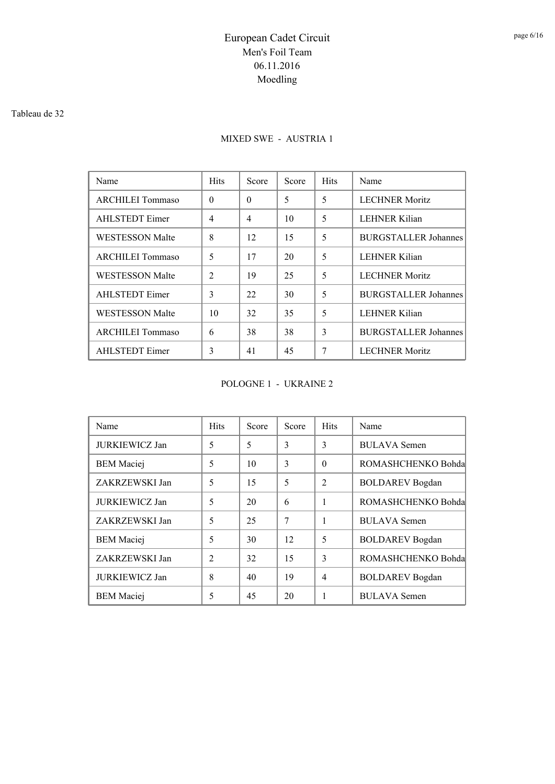#### Tableau de 32

## MIXED SWE - AUSTRIA 1

| Name                    | <b>Hits</b>    | Score    | Score | <b>Hits</b> | Name                        |  |
|-------------------------|----------------|----------|-------|-------------|-----------------------------|--|
| <b>ARCHILEI Tommaso</b> | $\theta$       | $\Omega$ | 5     | 5           | <b>LECHNER Moritz</b>       |  |
| <b>AHLSTEDT</b> Eimer   | $\overline{4}$ | 4        | 10    | 5           | <b>LEHNER Kilian</b>        |  |
| <b>WESTESSON Malte</b>  | 8              | 12       | 15    | 5           | <b>BURGSTALLER Johannes</b> |  |
| ARCHILEI Tommaso        | 5              | 17       | 20    | 5           | <b>LEHNER Kilian</b>        |  |
| <b>WESTESSON Malte</b>  | 2              | 19       | 25    | 5           | <b>LECHNER Moritz</b>       |  |
| <b>AHLSTEDT</b> Eimer   | 3              | 22       | 30    | 5           | <b>BURGSTALLER Johannes</b> |  |
| <b>WESTESSON Malte</b>  | 10             | 32       | 35    | 5           | <b>LEHNER Kilian</b>        |  |
| ARCHILEI Tommaso        | 6              | 38       | 38    | 3           | <b>BURGSTALLER Johannes</b> |  |
| AHLSTEDT Eimer          | 3              | 41       | 45    | 7           | <b>LECHNER Moritz</b>       |  |

POLOGNE 1 - UKRAINE 2

| Name                  | <b>Hits</b>    | Score | Score | <b>Hits</b>    | Name                   |  |
|-----------------------|----------------|-------|-------|----------------|------------------------|--|
| <b>JURKIEWICZ Jan</b> | 5              | 5     | 3     | 3              | <b>BULAVA</b> Semen    |  |
| <b>BEM</b> Maciej     | 5              | 10    | 3     | $\Omega$       | ROMASHCHENKO Bohda     |  |
| ZAKRZEWSKI Jan        | 5              | 15    | 5     | $\mathfrak{D}$ | <b>BOLDAREV</b> Bogdan |  |
| <b>JURKIEWICZ Jan</b> | 5              | 20    | 6     |                | ROMASHCHENKO Bohda     |  |
| ZAKRZEWSKI Jan        | 5              | 25    | 7     | 1              | <b>BULAVA</b> Semen    |  |
| <b>BEM</b> Maciej     | 5              | 30    | 12    | 5              | <b>BOLDAREV</b> Bogdan |  |
| ZAKRZEWSKI Jan        | $\overline{2}$ | 32    | 15    | $\mathbf{3}$   | ROMASHCHENKO Bohda     |  |
| JURKIEWICZ Jan        | 8              | 40    | 19    | $\overline{4}$ | <b>BOLDAREV</b> Bogdan |  |
| <b>BEM</b> Maciej     | 5              | 45    | 20    | 1              | <b>BULAVA</b> Semen    |  |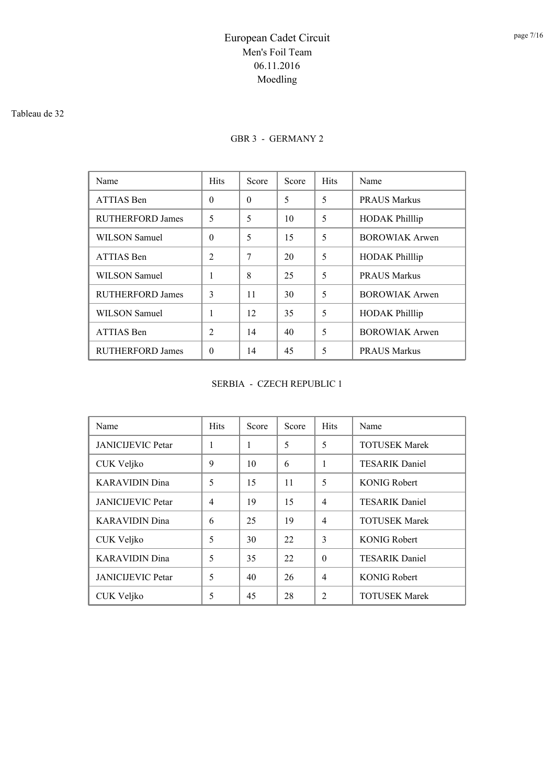#### Tableau de 32

### GBR 3 - GERMANY 2

| Name                    | <b>Hits</b>                 | Score    | Score | <b>Hits</b> | Name                  |
|-------------------------|-----------------------------|----------|-------|-------------|-----------------------|
| ATTIAS Ben              | $\Omega$                    | $\Omega$ | 5     | 5           | <b>PRAUS Markus</b>   |
| RUTHERFORD James        | 5                           | 5        | 10    | 5           | <b>HODAK</b> Phillip  |
| WILSON Samuel           | $\Omega$                    | 5        | 15    | 5           | <b>BOROWIAK Arwen</b> |
| ATTIAS Ben              | $\mathcal{D}_{\mathcal{L}}$ | 7        | 20    | 5           | <b>HODAK Phillip</b>  |
| WILSON Samuel           |                             | 8        | 25    | 5           | <b>PRAUS Markus</b>   |
| RUTHERFORD James        | $\mathbf{3}$                | 11       | 30    | 5           | <b>BOROWIAK Arwen</b> |
| WILSON Samuel           |                             | 12       | 35    | 5           | <b>HODAK Philllip</b> |
| ATTIAS Ben              | $\overline{2}$              | 14       | 40    | 5           | <b>BOROWIAK Arwen</b> |
| <b>RUTHERFORD James</b> | $\Omega$                    | 14       | 45    | 5           | <b>PRAUS Markus</b>   |

#### SERBIA - CZECH REPUBLIC 1

| Name                     | <b>Hits</b>    | Score | Score | <b>Hits</b>    | Name                  |
|--------------------------|----------------|-------|-------|----------------|-----------------------|
| <b>JANICIJEVIC Petar</b> | 1              | 1     | 5     | 5              | <b>TOTUSEK Marek</b>  |
| CUK Veljko               | 9              | 10    | 6     | 1              | <b>TESARIK Daniel</b> |
| <b>KARAVIDIN Dina</b>    | 5              | 15    | 11    | 5              | <b>KONIG Robert</b>   |
| <b>JANICIJEVIC Petar</b> | $\overline{4}$ | 19    | 15    | $\overline{4}$ | <b>TESARIK Daniel</b> |
| <b>KARAVIDIN</b> Dina    | 6              | 25    | 19    | $\overline{4}$ | <b>TOTUSEK Marek</b>  |
| CUK Veljko               | 5              | 30    | 22    | $\mathcal{E}$  | <b>KONIG Robert</b>   |
| <b>KARAVIDIN Dina</b>    | 5              | 35    | 22.   | $\Omega$       | <b>TESARIK Daniel</b> |
| <b>JANICIJEVIC Petar</b> | 5              | 40    | 26    | $\overline{4}$ | <b>KONIG Robert</b>   |
| CUK Veljko               | 5              | 45    | 28    | $\overline{c}$ | <b>TOTUSEK Marek</b>  |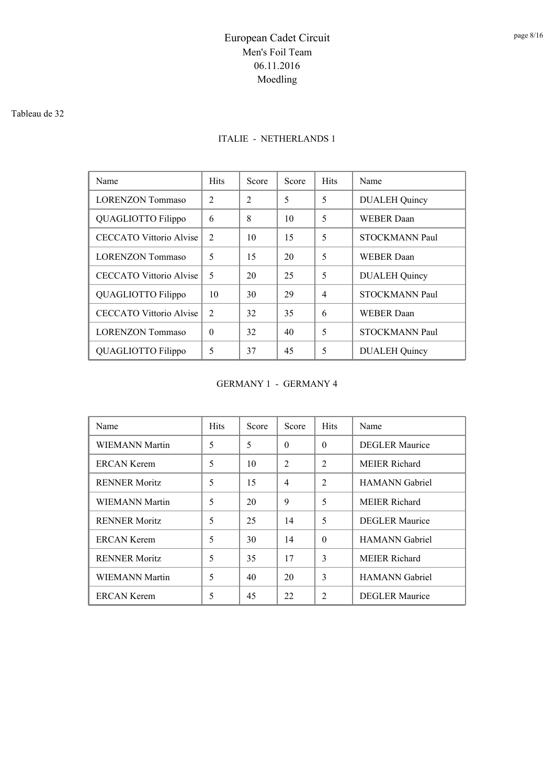#### Tableau de 32

### ITALIE - NETHERLANDS 1

| Name                           | <b>Hits</b>                 | Score          | Score | <b>Hits</b> | Name                  |
|--------------------------------|-----------------------------|----------------|-------|-------------|-----------------------|
| <b>LORENZON Tommaso</b>        | $\mathcal{D}_{\mathcal{L}}$ | $\overline{2}$ | 5     | 5           | <b>DUALEH Quincy</b>  |
| QUAGLIOTTO Filippo             | 6                           | 8              | 10    | 5           | WEBER Daan            |
| <b>CECCATO Vittorio Alvise</b> | $\mathfrak{D}$              | 10             | 15    | 5           | <b>STOCKMANN Paul</b> |
| <b>LORENZON Tommaso</b>        | 5                           | 15             | 20    | 5           | <b>WEBER Daan</b>     |
| CECCATO Vittorio Alvise        | 5                           | 20             | 25    | 5           | <b>DUALEH</b> Quincy  |
| QUAGLIOTTO Filippo             | 10                          | 30             | 29    | 4           | <b>STOCKMANN Paul</b> |
| CECCATO Vittorio Alvise        | $\mathfrak{D}$              | 32             | 35    | 6           | <b>WEBER Daan</b>     |
| <b>LORENZON Tommaso</b>        | $\Omega$                    | 32             | 40    | 5           | <b>STOCKMANN Paul</b> |
| QUAGLIOTTO Filippo             | 5                           | 37             | 45    | 5           | <b>DUALEH Quincy</b>  |

GERMANY 1 - GERMANY 4

| Name                  | <b>Hits</b> | Score | Score          | <b>Hits</b>    | Name                  |
|-----------------------|-------------|-------|----------------|----------------|-----------------------|
| WIEMANN Martin        | 5           | 5     | $\theta$       | $\Omega$       | <b>DEGLER Maurice</b> |
| <b>ERCAN Kerem</b>    | 5           | 10    | $\overline{2}$ | $\overline{2}$ | <b>MEIER Richard</b>  |
| <b>RENNER Moritz</b>  | 5           | 15    | $\overline{4}$ | 2              | <b>HAMANN</b> Gabriel |
| WIEMANN Martin        | 5           | 20    | 9              | 5              | <b>MEIER Richard</b>  |
| <b>RENNER Moritz</b>  | 5           | 25    | 14             | 5              | <b>DEGLER</b> Maurice |
| <b>ERCAN Kerem</b>    | 5           | 30    | 14             | $\Omega$       | <b>HAMANN</b> Gabriel |
| <b>RENNER Moritz</b>  | 5           | 35    | 17             | 3              | <b>MEIER Richard</b>  |
| <b>WIEMANN Martin</b> | 5           | 40    | 20             | 3              | <b>HAMANN</b> Gabriel |
| ERCAN Kerem           | 5           | 45    | 22             | $\overline{c}$ | <b>DEGLER Maurice</b> |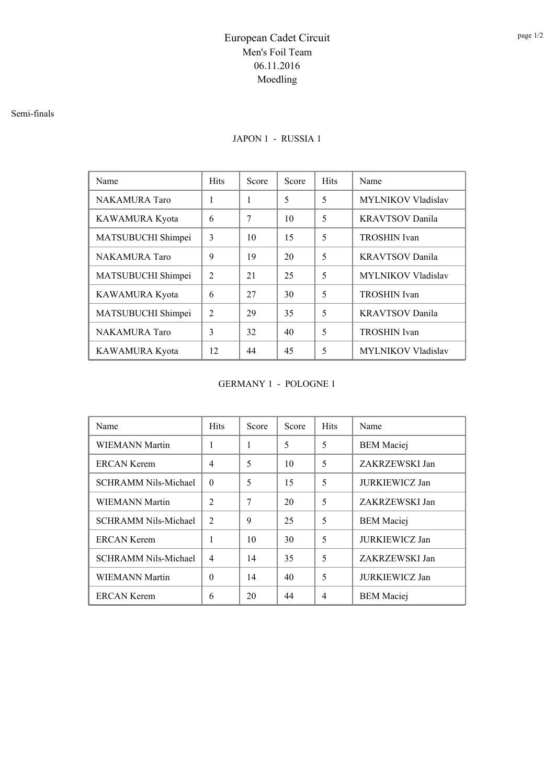#### Semi-finals

### JAPON 1 - RUSSIA 1

| Name                 | <b>Hits</b>                 | Score | Score | <b>Hits</b> | Name                      |
|----------------------|-----------------------------|-------|-------|-------------|---------------------------|
| <b>NAKAMURA</b> Taro | 1                           | 1     | 5     | 5           | <b>MYLNIKOV Vladislav</b> |
| KAWAMURA Kyota       | 6                           | 7     | 10    | 5           | <b>KRAVTSOV Danila</b>    |
| MATSUBUCHI Shimpei   | 3                           | 10    | 15    | 5           | <b>TROSHIN</b> Ivan       |
| <b>NAKAMURA</b> Taro | 9                           | 19    | 20    | 5           | <b>KRAVTSOV</b> Danila    |
| MATSUBUCHI Shimpei   | $\mathfrak{D}$              | 21    | 25    | 5           | <b>MYLNIKOV Vladislav</b> |
| KAWAMURA Kyota       | 6                           | 27    | 30    | 5           | <b>TROSHIN</b> Ivan       |
| MATSUBUCHI Shimpei   | $\mathcal{D}_{\mathcal{L}}$ | 29    | 35    | 5           | <b>KRAVTSOV</b> Danila    |
| <b>NAKAMURA</b> Taro | 3                           | 32    | 40    | 5           | TROSHIN Ivan              |
| KAWAMURA Kyota       | 12                          | 44    | 45    | 5           | <b>MYLNIKOV Vladislav</b> |

#### GERMANY 1 - POLOGNE 1

| Name                        | <b>Hits</b>    | Score | Score | <b>Hits</b> | Name                  |
|-----------------------------|----------------|-------|-------|-------------|-----------------------|
| <b>WIEMANN Martin</b>       | 1              | 1     | 5     | 5           | <b>BEM</b> Maciej     |
| <b>ERCAN Kerem</b>          | $\overline{4}$ | 5     | 10    | 5           | ZAKRZEWSKI Jan        |
| <b>SCHRAMM Nils-Michael</b> | $\Omega$       | 5     | 15    | 5           | <b>JURKIEWICZ Jan</b> |
| <b>WIEMANN Martin</b>       | $\mathfrak{D}$ | 7     | 20    | 5           | ZAKRZEWSKI Jan        |
| <b>SCHRAMM Nils-Michael</b> | 2              | 9     | 25    | 5           | <b>BEM</b> Maciej     |
| <b>ERCAN Kerem</b>          | 1              | 10    | 30    | 5           | <b>JURKIEWICZ Jan</b> |
| <b>SCHRAMM Nils-Michael</b> | $\overline{4}$ | 14    | 35    | 5           | ZAKRZEWSKI Jan        |
| <b>WIEMANN Martin</b>       | $\theta$       | 14    | 40    | 5           | <b>JURKIEWICZ Jan</b> |
| ERCAN Kerem                 | 6              | 20    | 44    | 4           | <b>BEM</b> Maciej     |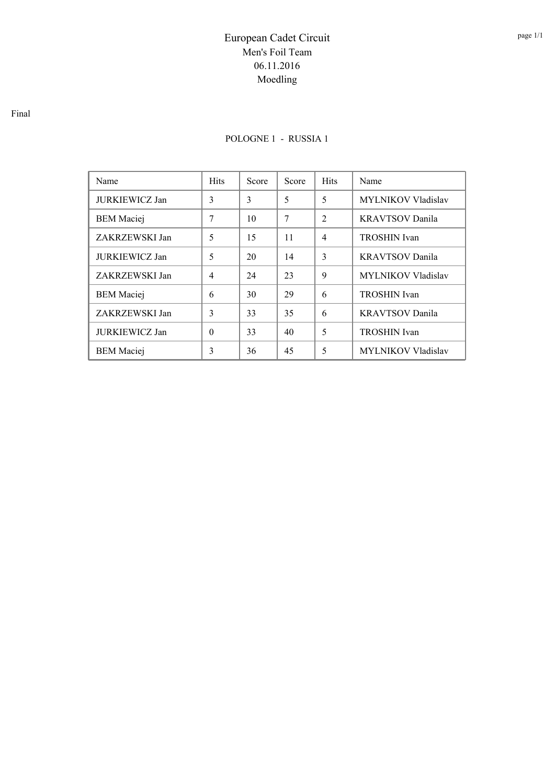### POLOGNE 1 - RUSSIA 1

| Name                  | <b>Hits</b>    | Score | Score | <b>Hits</b>    | Name                      |  |
|-----------------------|----------------|-------|-------|----------------|---------------------------|--|
| <b>JURKIEWICZ Jan</b> | 3              | 3     | 5     | 5              | <b>MYLNIKOV Vladislav</b> |  |
| <b>BEM</b> Maciej     | 7              | 10    | 7     | $\mathfrak{D}$ | <b>KRAVTSOV Danila</b>    |  |
| ZAKRZEWSKI Jan        | 5              | 15    | 11    | $\overline{4}$ | <b>TROSHIN</b> Ivan       |  |
| <b>JURKIEWICZ Jan</b> | 5              | 20    | 14    | 3              | <b>KRAVTSOV</b> Danila    |  |
| ZAKRZEWSKI Jan        | $\overline{4}$ | 24    | 23    | 9              | MYLNIKOV Vladislav        |  |
| <b>BEM</b> Maciej     | 6              | 30    | 29    | 6              | <b>TROSHIN</b> Ivan       |  |
| ZAKRZEWSKI Jan        | 3              | 33    | 35    | 6              | <b>KRAVTSOV</b> Danila    |  |
| <b>JURKIEWICZ Jan</b> | $\Omega$       | 33    | 40    | 5              | <b>TROSHIN</b> Ivan       |  |
| <b>BEM</b> Maciej     | 3              | 36    | 45    | 5              | <b>MYLNIKOV Vladislav</b> |  |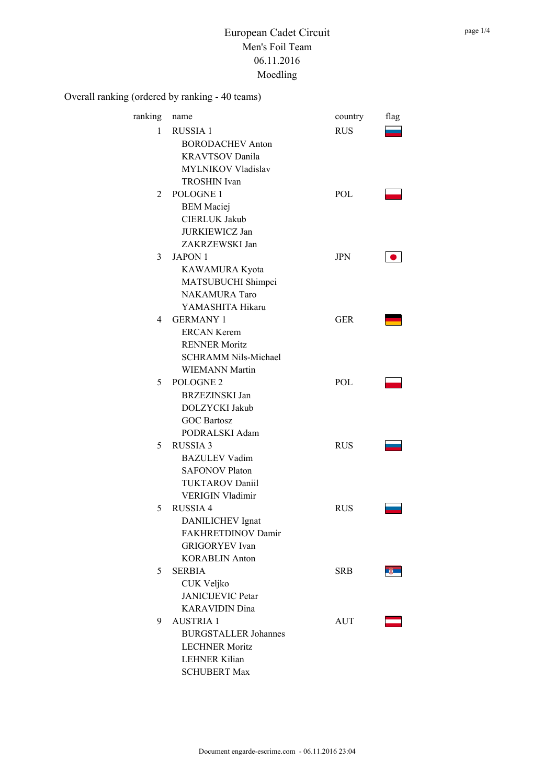| ranking        | name                                                                                                                                             | country    | flag |
|----------------|--------------------------------------------------------------------------------------------------------------------------------------------------|------------|------|
| 1              | <b>RUSSIA1</b><br><b>BORODACHEV Anton</b><br><b>KRAVTSOV Danila</b><br>MYLNIKOV Vladislav                                                        | <b>RUS</b> |      |
| $\mathfrak{D}$ | <b>TROSHIN</b> Ivan<br>POLOGNE 1<br><b>BEM</b> Maciej<br><b>CIERLUK Jakub</b><br><b>JURKIEWICZ Jan</b>                                           | POL        |      |
| 3              | ZAKRZEWSKI Jan<br><b>JAPON 1</b><br>KAWAMURA Kyota<br>MATSUBUCHI Shimpei                                                                         | <b>JPN</b> |      |
| 4              | <b>NAKAMURA Taro</b><br>YAMASHITA Hikaru<br><b>GERMANY 1</b><br><b>ERCAN Kerem</b><br><b>RENNER Moritz</b>                                       | <b>GER</b> |      |
| 5              | <b>SCHRAMM Nils-Michael</b><br><b>WIEMANN Martin</b><br>POLOGNE <sub>2</sub><br><b>BRZEZINSKI Jan</b><br>DOLZYCKI Jakub                          | <b>POL</b> |      |
| 5              | <b>GOC Bartosz</b><br>PODRALSKI Adam<br><b>RUSSIA 3</b><br><b>BAZULEV Vadim</b><br><b>SAFONOV Platon</b>                                         | <b>RUS</b> |      |
| 5              | <b>TUKTAROV Daniil</b><br><b>VERIGIN Vladimir</b><br><b>RUSSIA 4</b><br>DANILICHEV Ignat<br>FAKHRETDINOV Damir                                   | <b>RUS</b> |      |
| 5              | <b>GRIGORYEV</b> Ivan<br><b>KORABLIN Anton</b><br><b>SERBIA</b><br>CUK Veljko<br><b>JANICIJEVIC Petar</b>                                        | <b>SRB</b> |      |
| 9              | <b>KARAVIDIN</b> Dina<br><b>AUSTRIA 1</b><br><b>BURGSTALLER Johannes</b><br><b>LECHNER Moritz</b><br><b>LEHNER Kilian</b><br><b>SCHUBERT Max</b> | AUT        |      |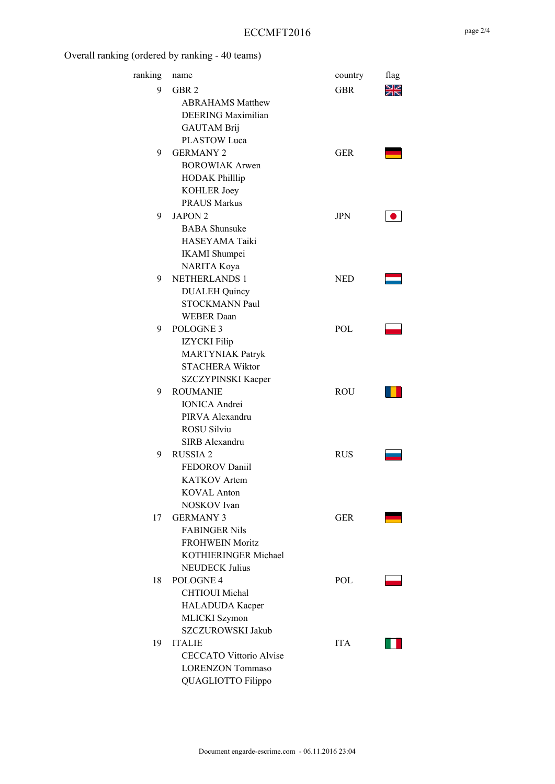| ranking | name                           | country    | flag      |
|---------|--------------------------------|------------|-----------|
| 9       | GBR <sub>2</sub>               | GBR        | <u>yk</u> |
|         | <b>ABRAHAMS Matthew</b>        |            |           |
|         | DEERING Maximilian             |            |           |
|         | <b>GAUTAM Brij</b>             |            |           |
|         | <b>PLASTOW Luca</b>            |            |           |
| 9       | <b>GERMANY 2</b>               | <b>GER</b> |           |
|         | <b>BOROWIAK Arwen</b>          |            |           |
|         | <b>HODAK Philllip</b>          |            |           |
|         | KOHLER Joey                    |            |           |
|         | <b>PRAUS Markus</b>            |            |           |
| 9       | JAPON <sub>2</sub>             | <b>JPN</b> |           |
|         | <b>BABA</b> Shunsuke           |            |           |
|         | HASEYAMA Taiki                 |            |           |
|         | <b>IKAMI</b> Shumpei           |            |           |
|         | NARITA Koya                    |            |           |
| 9       | <b>NETHERLANDS 1</b>           | <b>NED</b> |           |
|         | <b>DUALEH</b> Quincy           |            |           |
|         | STOCKMANN Paul                 |            |           |
|         | <b>WEBER Daan</b>              |            |           |
| 9       | POLOGNE <sub>3</sub>           | <b>POL</b> |           |
|         | IZYCKI Filip                   |            |           |
|         | <b>MARTYNIAK Patryk</b>        |            |           |
|         | <b>STACHERA Wiktor</b>         |            |           |
|         | SZCZYPINSKI Kacper             |            |           |
| 9       | <b>ROUMANIE</b>                | ROU        |           |
|         | <b>IONICA</b> Andrei           |            |           |
|         | PIRVA Alexandru                |            |           |
|         | <b>ROSU Silviu</b>             |            |           |
|         | SIRB Alexandru                 |            |           |
| 9       | <b>RUSSIA2</b>                 | RUS        |           |
|         | <b>FEDOROV Daniil</b>          |            |           |
|         | <b>KATKOV</b> Artem            |            |           |
|         | <b>KOVAL Anton</b>             |            |           |
|         | NOSKOV Ivan                    |            |           |
| 17      | <b>GERMANY 3</b>               | GER        |           |
|         | <b>FABINGER Nils</b>           |            |           |
|         | <b>FROHWEIN Moritz</b>         |            |           |
|         | KOTHIERINGER Michael           |            |           |
|         | <b>NEUDECK Julius</b>          |            |           |
| 18      | POLOGNE <sub>4</sub>           | POL.       |           |
|         | CHTIOUI Michal                 |            |           |
|         | HALADUDA Kacper                |            |           |
|         | MLICKI Szymon                  |            |           |
|         | SZCZUROWSKI Jakub              |            |           |
| 19      | <b>ITALIE</b>                  | <b>ITA</b> |           |
|         | <b>CECCATO Vittorio Alvise</b> |            |           |
|         | <b>LORENZON Tommaso</b>        |            |           |
|         | QUAGLIOTTO Filippo             |            |           |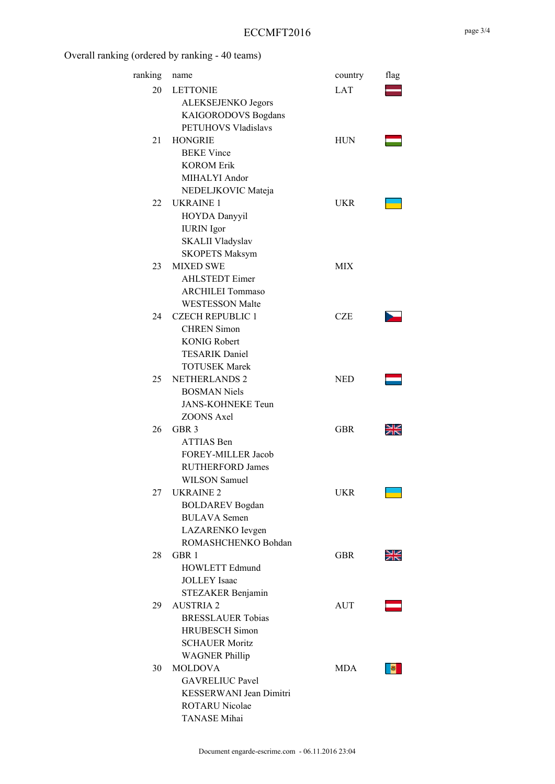### ECCMFT2016

| ranking | name                     | country    | flag |
|---------|--------------------------|------------|------|
| 20      | <b>LETTONIE</b>          | LAT        |      |
|         | ALEKSEJENKO Jegors       |            |      |
|         | KAIGORODOVS Bogdans      |            |      |
|         | PETUHOVS Vladislavs      |            |      |
| 21      | <b>HONGRIE</b>           | <b>HUN</b> |      |
|         | <b>BEKE</b> Vince        |            |      |
|         | <b>KOROM Erik</b>        |            |      |
|         | MIHALYI Andor            |            |      |
|         | NEDELJKOVIC Mateja       |            |      |
| 22      | <b>UKRAINE 1</b>         | UKR        |      |
|         | HOYDA Danyyil            |            |      |
|         | <b>IURIN</b> Igor        |            |      |
|         | SKALII Vladyslav         |            |      |
|         | <b>SKOPETS Maksym</b>    |            |      |
| 23      | <b>MIXED SWE</b>         | MIX        |      |
|         | <b>AHLSTEDT</b> Eimer    |            |      |
|         | <b>ARCHILEI Tommaso</b>  |            |      |
|         | <b>WESTESSON Malte</b>   |            |      |
| 24      | <b>CZECH REPUBLIC 1</b>  | <b>CZE</b> |      |
|         | <b>CHREN</b> Simon       |            |      |
|         | <b>KONIG Robert</b>      |            |      |
|         | <b>TESARIK Daniel</b>    |            |      |
|         | <b>TOTUSEK Marek</b>     |            |      |
| 25      | <b>NETHERLANDS 2</b>     | <b>NED</b> |      |
|         | <b>BOSMAN</b> Niels      |            |      |
|         | <b>JANS-KOHNEKE Teun</b> |            |      |
|         | <b>ZOONS Axel</b>        |            |      |
| 26      | GBR <sub>3</sub>         | GBR        |      |
|         | ATTIAS Ben               |            |      |
|         | FOREY-MILLER Jacob       |            |      |
|         | <b>RUTHERFORD James</b>  |            |      |
|         | <b>WILSON</b> Samuel     |            |      |
| 27      | UKRAINE <sub>2</sub>     | UKR        |      |
|         | <b>BOLDAREV</b> Bogdan   |            |      |
|         | <b>BULAVA</b> Semen      |            |      |
|         | LAZARENKO Ievgen         |            |      |
|         | ROMASHCHENKO Bohdan      |            |      |
| 28      | GBR 1                    | GBR        |      |
|         | <b>HOWLETT Edmund</b>    |            |      |
|         | <b>JOLLEY</b> Isaac      |            |      |
|         | STEZAKER Benjamin        |            |      |
| 29      | <b>AUSTRIA 2</b>         | <b>AUT</b> |      |
|         | <b>BRESSLAUER Tobias</b> |            |      |
|         | <b>HRUBESCH</b> Simon    |            |      |
|         | <b>SCHAUER Moritz</b>    |            |      |
|         | <b>WAGNER Phillip</b>    |            |      |
| 30      | <b>MOLDOVA</b>           | MDA.       |      |
|         | <b>GAVRELIUC Pavel</b>   |            |      |
|         | KESSERWANI Jean Dimitri  |            |      |
|         | <b>ROTARU Nicolae</b>    |            |      |
|         | TANASE Mihai             |            |      |
|         |                          |            |      |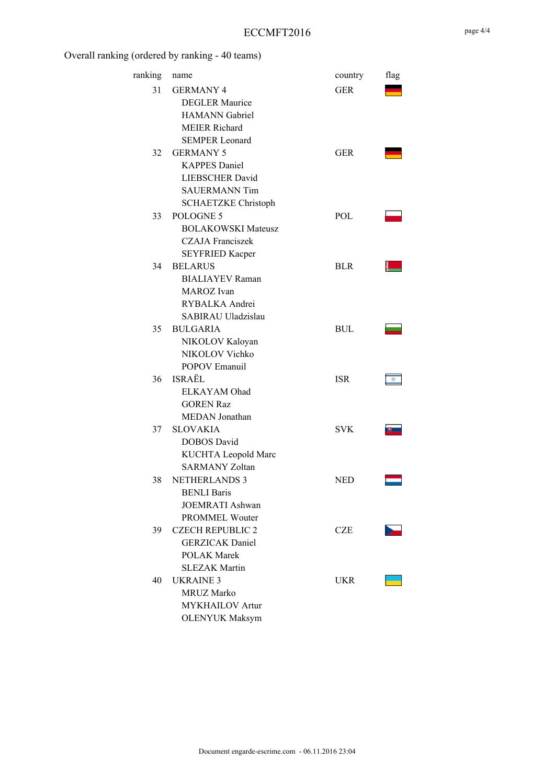### ECCMFT2016

| ranking | name                       | country    | flag |
|---------|----------------------------|------------|------|
| 31      | <b>GERMANY 4</b>           | GER        |      |
|         | <b>DEGLER Maurice</b>      |            |      |
|         | <b>HAMANN</b> Gabriel      |            |      |
|         | <b>MEIER Richard</b>       |            |      |
|         | <b>SEMPER Leonard</b>      |            |      |
| 32      | <b>GERMANY 5</b>           | GER        |      |
|         | <b>KAPPES Daniel</b>       |            |      |
|         | <b>LIEBSCHER David</b>     |            |      |
|         | <b>SAUERMANN Tim</b>       |            |      |
|         | <b>SCHAETZKE Christoph</b> |            |      |
| 33      | POLOGNE 5                  | <b>POL</b> |      |
|         | <b>BOLAKOWSKI Mateusz</b>  |            |      |
|         | <b>CZAJA</b> Franciszek    |            |      |
|         | <b>SEYFRIED Kacper</b>     |            |      |
| 34      | <b>BELARUS</b>             | <b>BLR</b> |      |
|         | <b>BIALIAYEV Raman</b>     |            |      |
|         | MAROZ Ivan                 |            |      |
|         | RYBALKA Andrei             |            |      |
|         | SABIRAU Uladzislau         |            |      |
| 35      | <b>BULGARIA</b>            | BUL        |      |
|         | NIKOLOV Kaloyan            |            |      |
|         | NIKOLOV Vichko             |            |      |
|         | POPOV Emanuil              |            |      |
| 36      | ISRAËL                     | <b>ISR</b> | ☆    |
|         | ELKAYAM Ohad               |            |      |
|         | <b>GOREN Raz</b>           |            |      |
|         | MEDAN Jonathan             |            |      |
| 37      | <b>SLOVAKIA</b>            | SVK        |      |
|         | <b>DOBOS</b> David         |            |      |
|         | KUCHTA Leopold Marc        |            |      |
|         | <b>SARMANY Zoltan</b>      |            |      |
| 38      | <b>NETHERLANDS 3</b>       | NED        |      |
|         | <b>BENLI Baris</b>         |            |      |
|         | <b>JOEMRATI Ashwan</b>     |            |      |
|         | <b>PROMMEL Wouter</b>      |            |      |
| 39      | <b>CZECH REPUBLIC 2</b>    | <b>CZE</b> |      |
|         | <b>GERZICAK</b> Daniel     |            |      |
|         | <b>POLAK Marek</b>         |            |      |
|         | <b>SLEZAK Martin</b>       |            |      |
| 40      | <b>UKRAINE 3</b>           | UKR        |      |
|         | <b>MRUZ Marko</b>          |            |      |
|         | <b>MYKHAILOV</b> Artur     |            |      |
|         | <b>OLENYUK Maksym</b>      |            |      |